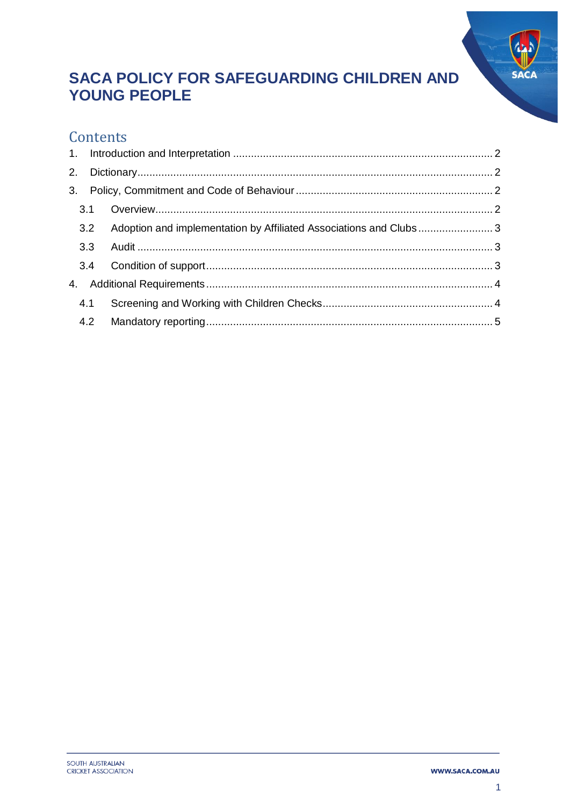

# **SACA POLICY FOR SAFEGUARDING CHILDREN AND YOUNG PEOPLE**

### Contents

| 2. |     |                                                                       |  |
|----|-----|-----------------------------------------------------------------------|--|
|    |     |                                                                       |  |
|    | 3.1 |                                                                       |  |
|    |     | 3.2 Adoption and implementation by Affiliated Associations and Clubs3 |  |
|    |     |                                                                       |  |
|    |     |                                                                       |  |
|    |     |                                                                       |  |
|    | 4.1 |                                                                       |  |
|    |     |                                                                       |  |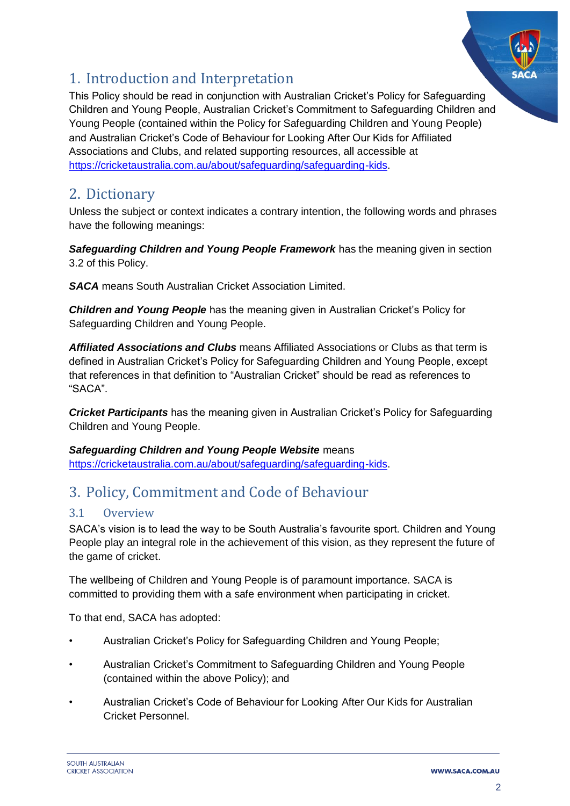

## <span id="page-1-0"></span>1. Introduction and Interpretation

This Policy should be read in conjunction with Australian Cricket's Policy for Safeguarding Children and Young People, Australian Cricket's Commitment to Safeguarding Children and Young People (contained within the Policy for Safeguarding Children and Young People) and Australian Cricket's Code of Behaviour for Looking After Our Kids for Affiliated Associations and Clubs, and related supporting resources, all accessible at [https://cricketaustralia.com.au/about/safeguarding/safeguarding-kids.](https://cricketaustralia.com.au/about/safeguarding/safeguarding-kids)

## <span id="page-1-1"></span>2. Dictionary

Unless the subject or context indicates a contrary intention, the following words and phrases have the following meanings:

#### *Safeguarding Children and Young People Framework* has the meaning given in section 3.2 of this Policy.

*SACA* means South Australian Cricket Association Limited.

*Children and Young People* has the meaning given in Australian Cricket's Policy for Safeguarding Children and Young People.

*Affiliated Associations and Clubs* means Affiliated Associations or Clubs as that term is defined in Australian Cricket's Policy for Safeguarding Children and Young People, except that references in that definition to "Australian Cricket" should be read as references to "SACA".

*Cricket Participants* has the meaning given in Australian Cricket's Policy for Safeguarding Children and Young People.

### *Safeguarding Children and Young People Website* means [https://cricketaustralia.com.au/about/safeguarding/safeguarding-kids.](https://cricketaustralia.com.au/about/safeguarding/safeguarding-kids)

# <span id="page-1-2"></span>3. Policy, Commitment and Code of Behaviour

### <span id="page-1-3"></span>3.1 Overview

SACA's vision is to lead the way to be South Australia's favourite sport. Children and Young People play an integral role in the achievement of this vision, as they represent the future of the game of cricket.

The wellbeing of Children and Young People is of paramount importance. SACA is committed to providing them with a safe environment when participating in cricket.

To that end, SACA has adopted:

- Australian Cricket's Policy for Safeguarding Children and Young People;
- Australian Cricket's Commitment to Safeguarding Children and Young People (contained within the above Policy); and
- Australian Cricket's Code of Behaviour for Looking After Our Kids for Australian Cricket Personnel.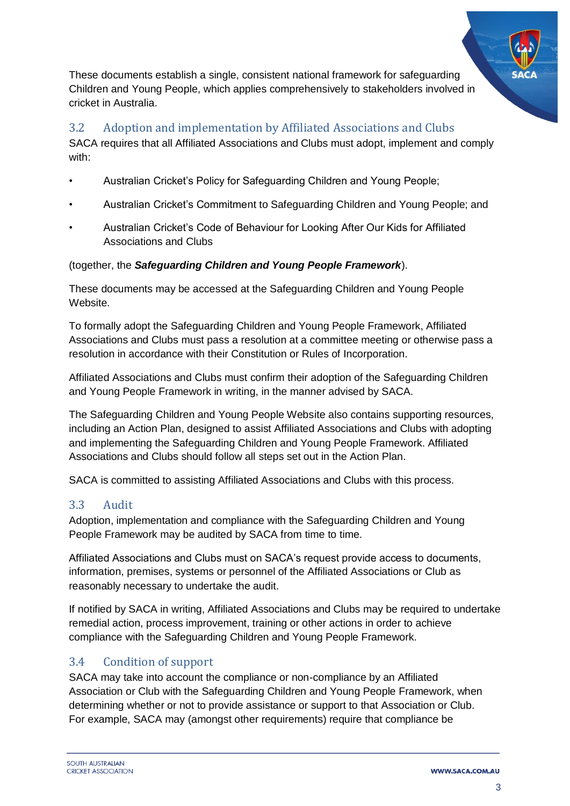These documents establish a single, consistent national framework for safeguarding Children and Young People, which applies comprehensively to stakeholders involved in cricket in Australia.

#### <span id="page-2-0"></span>3.2 Adoption and implementation by Affiliated Associations and Clubs

SACA requires that all Affiliated Associations and Clubs must adopt, implement and comply with:

- Australian Cricket's Policy for Safeguarding Children and Young People;
- Australian Cricket's Commitment to Safeguarding Children and Young People; and
- Australian Cricket's Code of Behaviour for Looking After Our Kids for Affiliated Associations and Clubs

#### (together, the *Safeguarding Children and Young People Framework*).

These documents may be accessed at the Safeguarding Children and Young People Website.

To formally adopt the Safeguarding Children and Young People Framework, Affiliated Associations and Clubs must pass a resolution at a committee meeting or otherwise pass a resolution in accordance with their Constitution or Rules of Incorporation.

Affiliated Associations and Clubs must confirm their adoption of the Safeguarding Children and Young People Framework in writing, in the manner advised by SACA.

The Safeguarding Children and Young People Website also contains supporting resources, including an Action Plan, designed to assist Affiliated Associations and Clubs with adopting and implementing the Safeguarding Children and Young People Framework. Affiliated Associations and Clubs should follow all steps set out in the Action Plan.

SACA is committed to assisting Affiliated Associations and Clubs with this process.

#### <span id="page-2-1"></span>3.3 Audit

Adoption, implementation and compliance with the Safeguarding Children and Young People Framework may be audited by SACA from time to time.

Affiliated Associations and Clubs must on SACA's request provide access to documents, information, premises, systems or personnel of the Affiliated Associations or Club as reasonably necessary to undertake the audit.

If notified by SACA in writing, Affiliated Associations and Clubs may be required to undertake remedial action, process improvement, training or other actions in order to achieve compliance with the Safeguarding Children and Young People Framework.

### <span id="page-2-2"></span>3.4 Condition of support

SACA may take into account the compliance or non-compliance by an Affiliated Association or Club with the Safeguarding Children and Young People Framework, when determining whether or not to provide assistance or support to that Association or Club. For example, SACA may (amongst other requirements) require that compliance be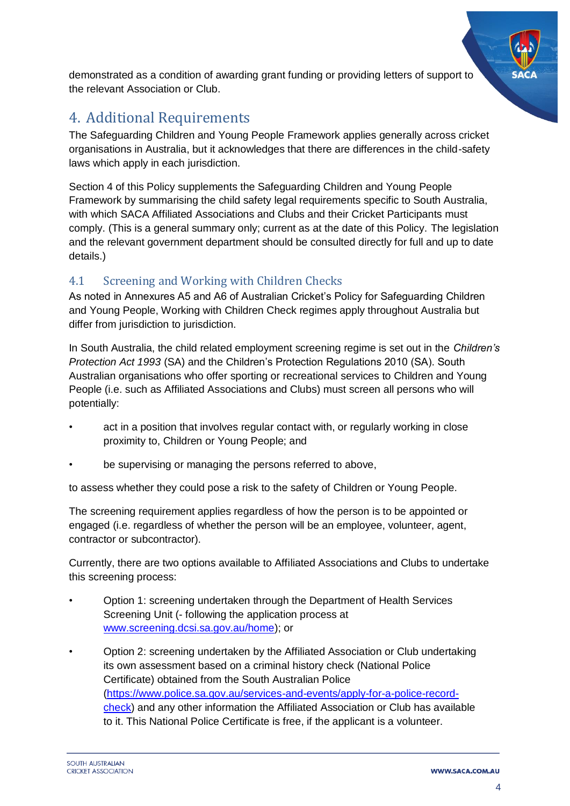demonstrated as a condition of awarding grant funding or providing letters of support to the relevant Association or Club.

## <span id="page-3-0"></span>4. Additional Requirements

The Safeguarding Children and Young People Framework applies generally across cricket organisations in Australia, but it acknowledges that there are differences in the child-safety laws which apply in each jurisdiction.

Section 4 of this Policy supplements the Safeguarding Children and Young People Framework by summarising the child safety legal requirements specific to South Australia, with which SACA Affiliated Associations and Clubs and their Cricket Participants must comply. (This is a general summary only; current as at the date of this Policy. The legislation and the relevant government department should be consulted directly for full and up to date details.)

### <span id="page-3-1"></span>4.1 Screening and Working with Children Checks

As noted in Annexures A5 and A6 of Australian Cricket's Policy for Safeguarding Children and Young People, Working with Children Check regimes apply throughout Australia but differ from jurisdiction to jurisdiction.

In South Australia, the child related employment screening regime is set out in the *Children's Protection Act 1993* (SA) and the Children's Protection Regulations 2010 (SA). South Australian organisations who offer sporting or recreational services to Children and Young People (i.e. such as Affiliated Associations and Clubs) must screen all persons who will potentially:

- act in a position that involves regular contact with, or regularly working in close proximity to, Children or Young People; and
- be supervising or managing the persons referred to above,

to assess whether they could pose a risk to the safety of Children or Young People.

The screening requirement applies regardless of how the person is to be appointed or engaged (i.e. regardless of whether the person will be an employee, volunteer, agent, contractor or subcontractor).

Currently, there are two options available to Affiliated Associations and Clubs to undertake this screening process:

- Option 1: screening undertaken through the Department of Health Services Screening Unit (- following the application process at [www.screening.dcsi.sa.gov.au/home\)](file:///C:/Users/ABasse/AppData/Local/Microsoft/Windows/INetCache/Content.Outlook/09DNHUUM/www.screening.dcsi.sa.gov.au/home); or
- Option 2: screening undertaken by the Affiliated Association or Club undertaking its own assessment based on a criminal history check (National Police Certificate) obtained from the South Australian Police [\(https://www.police.sa.gov.au/services-and-events/apply-for-a-police-record](https://www.police.sa.gov.au/services-and-events/apply-for-a-police-record-check)[check\)](https://www.police.sa.gov.au/services-and-events/apply-for-a-police-record-check) and any other information the Affiliated Association or Club has available to it. This National Police Certificate is free, if the applicant is a volunteer.